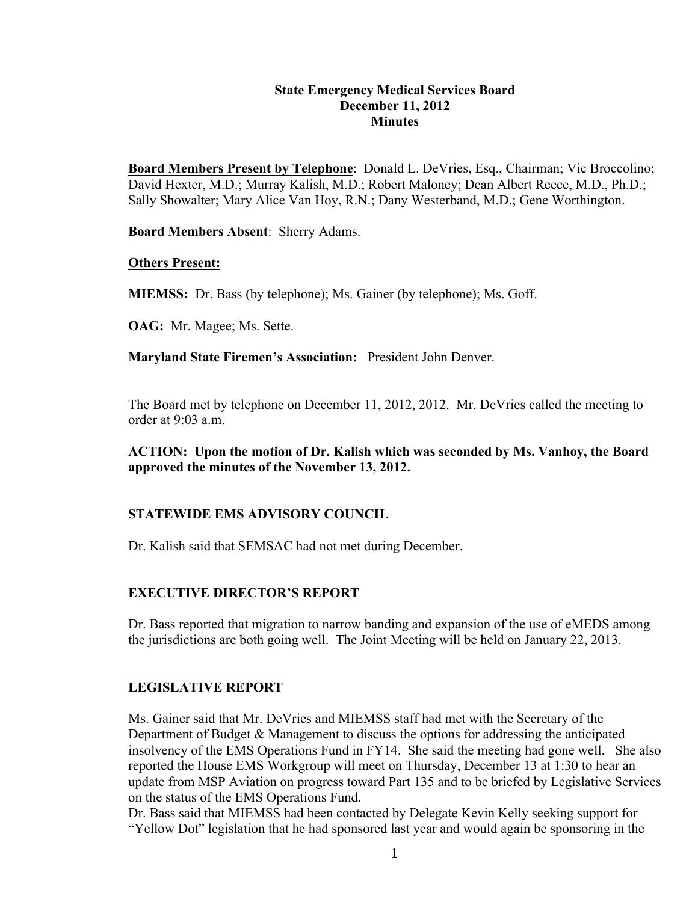## **State Emergency Medical Services Board December 11, 2012 Minutes**

**Board Members Present by Telephone**: Donald L. DeVries, Esq., Chairman; Vic Broccolino; David Hexter, M.D.; Murray Kalish, M.D.; Robert Maloney; Dean Albert Reece, M.D., Ph.D.; Sally Showalter; Mary Alice Van Hoy, R.N.; Dany Westerband, M.D.; Gene Worthington.

**Board Members Absent**: Sherry Adams.

## **Others Present:**

**MIEMSS:** Dr. Bass (by telephone); Ms. Gainer (by telephone); Ms. Goff.

**OAG:** Mr. Magee; Ms. Sette.

**Maryland State Firemen's Association:** President John Denver.

The Board met by telephone on December 11, 2012, 2012. Mr. DeVries called the meeting to order at 9:03 a.m.

**ACTION: Upon the motion of Dr. Kalish which was seconded by Ms. Vanhoy, the Board approved the minutes of the November 13, 2012.**

# **STATEWIDE EMS ADVISORY COUNCIL**

Dr. Kalish said that SEMSAC had not met during December.

# **EXECUTIVE DIRECTOR'S REPORT**

Dr. Bass reported that migration to narrow banding and expansion of the use of eMEDS among the jurisdictions are both going well. The Joint Meeting will be held on January 22, 2013.

# **LEGISLATIVE REPORT**

Ms. Gainer said that Mr. DeVries and MIEMSS staff had met with the Secretary of the Department of Budget & Management to discuss the options for addressing the anticipated insolvency of the EMS Operations Fund in FY14. She said the meeting had gone well. She also reported the House EMS Workgroup will meet on Thursday, December 13 at 1:30 to hear an update from MSP Aviation on progress toward Part 135 and to be briefed by Legislative Services on the status of the EMS Operations Fund.

Dr. Bass said that MIEMSS had been contacted by Delegate Kevin Kelly seeking support for "Yellow Dot" legislation that he had sponsored last year and would again be sponsoring in the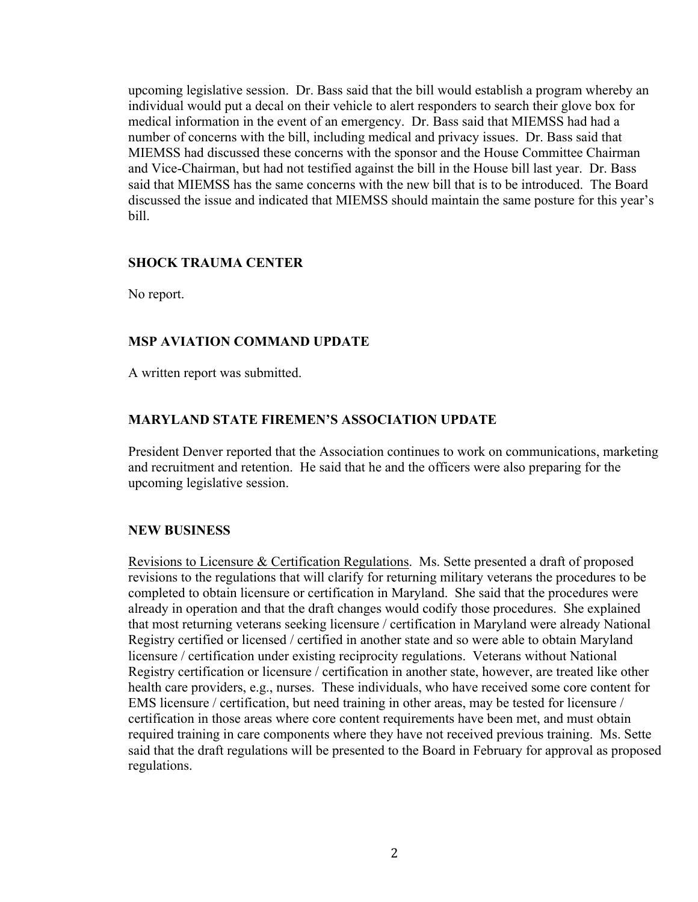upcoming legislative session. Dr. Bass said that the bill would establish a program whereby an individual would put a decal on their vehicle to alert responders to search their glove box for medical information in the event of an emergency. Dr. Bass said that MIEMSS had had a number of concerns with the bill, including medical and privacy issues. Dr. Bass said that MIEMSS had discussed these concerns with the sponsor and the House Committee Chairman and Vice-Chairman, but had not testified against the bill in the House bill last year. Dr. Bass said that MIEMSS has the same concerns with the new bill that is to be introduced. The Board discussed the issue and indicated that MIEMSS should maintain the same posture for this year's bill.

#### **SHOCK TRAUMA CENTER**

No report.

# **MSP AVIATION COMMAND UPDATE**

A written report was submitted.

## **MARYLAND STATE FIREMEN'S ASSOCIATION UPDATE**

President Denver reported that the Association continues to work on communications, marketing and recruitment and retention. He said that he and the officers were also preparing for the upcoming legislative session.

#### **NEW BUSINESS**

Revisions to Licensure & Certification Regulations. Ms. Sette presented a draft of proposed revisions to the regulations that will clarify for returning military veterans the procedures to be completed to obtain licensure or certification in Maryland. She said that the procedures were already in operation and that the draft changes would codify those procedures. She explained that most returning veterans seeking licensure / certification in Maryland were already National Registry certified or licensed / certified in another state and so were able to obtain Maryland licensure / certification under existing reciprocity regulations. Veterans without National Registry certification or licensure / certification in another state, however, are treated like other health care providers, e.g., nurses. These individuals, who have received some core content for EMS licensure / certification, but need training in other areas, may be tested for licensure / certification in those areas where core content requirements have been met, and must obtain required training in care components where they have not received previous training. Ms. Sette said that the draft regulations will be presented to the Board in February for approval as proposed regulations.